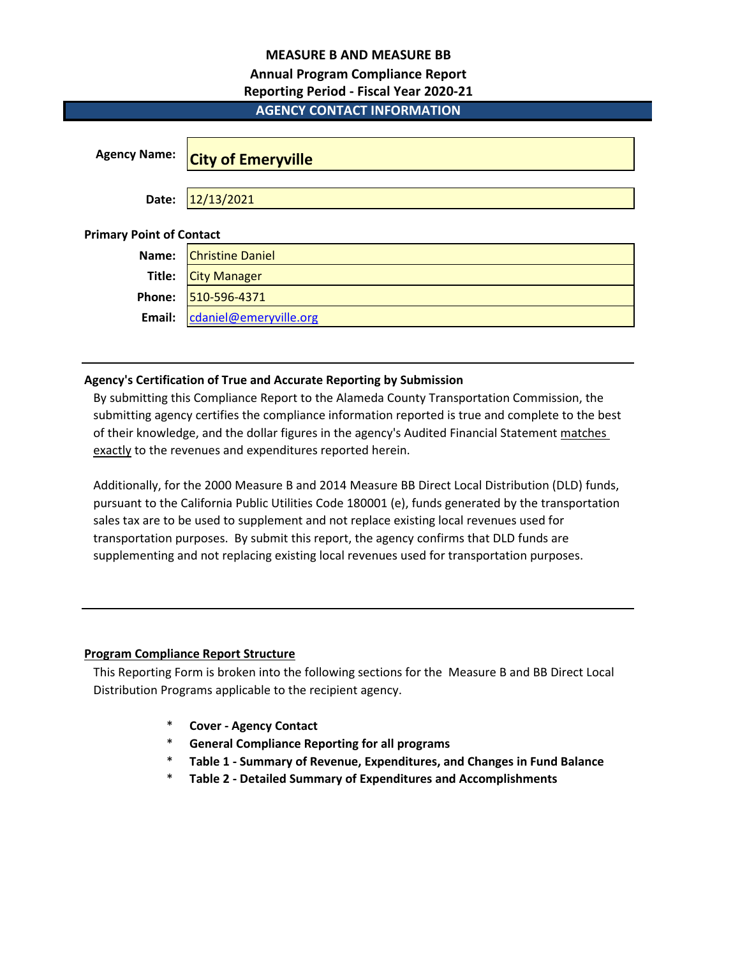# **MEASURE B AND MEASURE BB**

# **Annual Program Compliance Report**

# **Reporting Period - Fiscal Year 2020-21**

# **AGENCY CONTACT INFORMATION**

| <b>Agency Name:</b>             | <b>City of Emeryville</b> |
|---------------------------------|---------------------------|
| Date:                           | 12/13/2021                |
| <b>Primary Point of Contact</b> |                           |
| Name:                           | <b>Christine Daniel</b>   |
| Title:                          | <b>City Manager</b>       |
| Phone:                          | 510-596-4371              |
| Email:                          | cdaniel@emeryville.org    |

# **Agency's Certification of True and Accurate Reporting by Submission**

By submitting this Compliance Report to the Alameda County Transportation Commission, the submitting agency certifies the compliance information reported is true and complete to the best of their knowledge, and the dollar figures in the agency's Audited Financial Statement matches exactly to the revenues and expenditures reported herein.

Additionally, for the 2000 Measure B and 2014 Measure BB Direct Local Distribution (DLD) funds, pursuant to the California Public Utilities Code 180001 (e), funds generated by the transportation sales tax are to be used to supplement and not replace existing local revenues used for transportation purposes. By submit this report, the agency confirms that DLD funds are supplementing and not replacing existing local revenues used for transportation purposes.

# **Program Compliance Report Structure**

This Reporting Form is broken into the following sections for the Measure B and BB Direct Local Distribution Programs applicable to the recipient agency.

- \* **Cover Agency Contact**
- \* **General Compliance Reporting for all programs**
- \* **Table 1 Summary of Revenue, Expenditures, and Changes in Fund Balance**
- \* **Table 2 Detailed Summary of Expenditures and Accomplishments**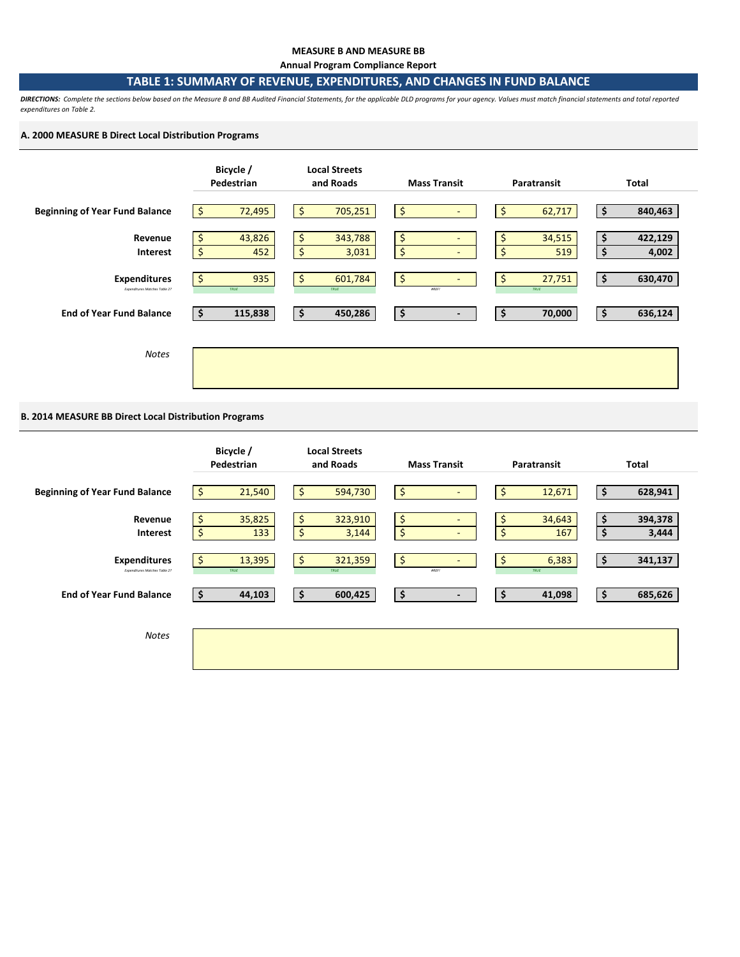#### **MEASURE B AND MEASURE BB**

**Annual Program Compliance Report**

## **TABLE 1: SUMMARY OF REVENUE, EXPENDITURES, AND CHANGES IN FUND BALANCE**

*DIRECTIONS: Complete the sections below based on the Measure B and BB Audited Financial Statements, for the applicable DLD programs for your agency. Values must match financial statements and total reported expenditures on Table 2.* 

## **A. 2000 MEASURE B Direct Local Distribution Programs**



## **B. 2014 MEASURE BB Direct Local Distribution Programs**

|                                                      | Bicycle /<br>Pedestrian   | <b>Local Streets</b><br>and Roads | <b>Mass Transit</b>                       | Paratransit               | <b>Total</b>                 |
|------------------------------------------------------|---------------------------|-----------------------------------|-------------------------------------------|---------------------------|------------------------------|
| <b>Beginning of Year Fund Balance</b>                | 21,540<br>Ŝ.              | \$<br>594,730                     | \$<br>$\overline{\phantom{a}}$            | \$<br>12,671              | \$<br>628,941                |
| Revenue<br>Interest                                  | 35,825<br>\$<br>\$<br>133 | 323,910<br>\$<br>\$<br>3,144      | \$<br>$\overline{\phantom{a}}$<br>\$<br>٠ | 34,643<br>\$<br>\$<br>167 | 394,378<br>\$<br>\$<br>3,444 |
| <b>Expenditures</b><br>Expenditures Matches Table 2? | \$.<br>13,395<br>TRUE     | \$<br>321,359<br>TRUE             | \$<br>$\sim$<br><b>#REF!</b>              | \$<br>6,383<br>TRUE       | \$<br>341,137                |
| <b>End of Year Fund Balance</b>                      | 44,103<br>\$              | 600,425<br>\$                     | \$<br>$\blacksquare$                      | \$<br>41,098              | \$<br>685,626                |
| <b>Notes</b>                                         |                           |                                   |                                           |                           |                              |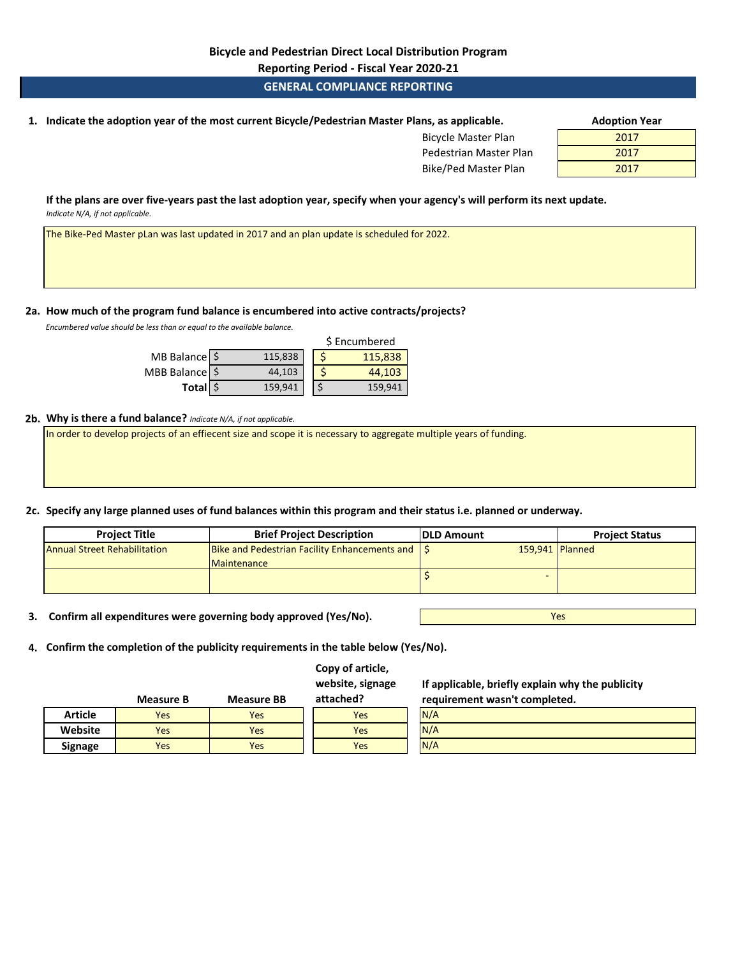**Reporting Period - Fiscal Year 2020-21**

## **GENERAL COMPLIANCE REPORTING**

**1. Adoption Year Indicate the adoption year of the most current Bicycle/Pedestrian Master Plans, as applicable.** 

Bicycle Master Plan Pedestrian Master Plan Bike/Ped Master Plan

| Adoption rear |  |
|---------------|--|
| 2017          |  |
| 2017          |  |
| 2017          |  |

**If the plans are over five-years past the last adoption year, specify when your agency's will perform its next update.**  *Indicate N/A, if not applicable.* 

The Bike-Ped Master pLan was last updated in 2017 and an plan update is scheduled for 2022.

## **2a. How much of the program fund balance is encumbered into active contracts/projects?**

*Encumbered value should be less than or equal to the available balance.* 

|                  |         | \$ Encumbered |
|------------------|---------|---------------|
| MB Balance \$    | 115,838 | 115,838       |
| MBB Balance   \$ | 44,103  | 44,103        |
| Total \$         | 159,941 | 159,941       |

#### **2b. Why is there a fund balance?** *Indicate N/A, if not applicable.*

In order to develop projects of an effiecent size and scope it is necessary to aggregate multiple years of funding.

## **2c. Specify any large planned uses of fund balances within this program and their status i.e. planned or underway.**

| <b>Project Title</b>                | <b>Brief Project Description</b>              | <b>IDLD Amount</b> | <b>Project Status</b> |
|-------------------------------------|-----------------------------------------------|--------------------|-----------------------|
| <b>Annual Street Rehabilitation</b> | Bike and Pedestrian Facility Enhancements and | 159,941 Planned    |                       |
|                                     | Maintenance                                   |                    |                       |
|                                     |                                               |                    |                       |

**3. Confirm all expenditures were governing body approved (Yes/No).**

Yes

**4. Confirm the completion of the publicity requirements in the table below (Yes/No).**

## **Copy of article, website, signage**

**If applicable, briefly explain why the publicity requirement wasn't completed.** 

|                | <b>Measure B</b> | <b>Measure BB</b> | attached? | requirement wasn't completed. |
|----------------|------------------|-------------------|-----------|-------------------------------|
| <b>Article</b> | Yes              | Yes               | Yes       | N/A                           |
| Website        | Yes              | Yes               | Yes       | N/A                           |
| <b>Signage</b> | Yes              | Yes               | Yes       | N/A                           |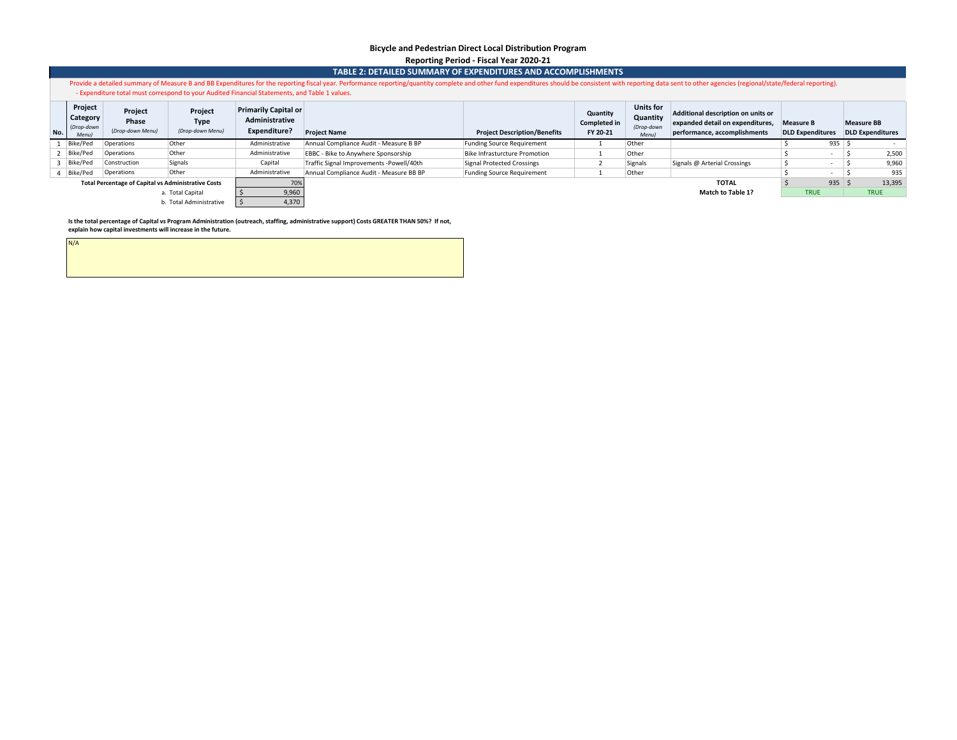#### **Bicycle and Pedestrian Direct Local Distribution Program Reporting Period - Fiscal Year 2020-21**

#### **TABLE 2: DETAILED SUMMARY OF EXPENDITURES AND ACCOMPLISHMENTS**

Provide a detailed summary of Measure B and BB Expenditures for the reporting fiscal year. Performance reporting/quantity complete and other fund expenditures should be consistent with reporting data sent to other agencies - Expenditure total must correspond to your Audited Financial Statements, and Table 1 values.

| Project<br>Category<br>(Drop-down<br>No.<br><b>Menul</b>   | Project<br>Phase<br>(Drop-down Menu) | Project<br><b>Type</b><br>(Drop-down Menu) | <b>Primarily Capital or</b><br>Administrative<br>Expenditure? | <b>Project Name</b>                      | <b>Project Description/Benefits</b> | Quantity<br><b>Completed in</b><br>FY 20-21 | <b>Units for</b><br>Quantity<br>(Drop-down<br><b>Menul</b> | Additional description on units or<br>expanded detail on expenditures,<br>performance, accomplishments | <b>Measure B</b><br><b>DLD Expenditures</b> |        | <b>Measure BB</b><br><b>DLD Expenditures</b> |
|------------------------------------------------------------|--------------------------------------|--------------------------------------------|---------------------------------------------------------------|------------------------------------------|-------------------------------------|---------------------------------------------|------------------------------------------------------------|--------------------------------------------------------------------------------------------------------|---------------------------------------------|--------|----------------------------------------------|
| Bike/Ped                                                   | Operations                           | Other                                      | Administrative                                                | Annual Compliance Audit - Measure B BP   | <b>Funding Source Requirement</b>   |                                             | Other                                                      |                                                                                                        |                                             | 935    |                                              |
| Bike/Ped                                                   | Operations                           | Other                                      | Administrative                                                | EBBC - Bike to Anywhere Sponsorship      | Bike Infrasturcture Promotion       |                                             | Other                                                      |                                                                                                        |                                             |        | 2,500                                        |
| Bike/Ped                                                   | Construction                         | Signals                                    | Capital                                                       | Traffic Signal Improvements -Powell/40th | Signal Protected Crossings          |                                             | Signals                                                    | Signals @ Arterial Crossings                                                                           |                                             |        | 9,960                                        |
| Bike/Ped                                                   | Operations                           | Other                                      | Administrative                                                | Annual Compliance Audit - Measure BB BP  | <b>Funding Source Requirement</b>   |                                             | Other                                                      |                                                                                                        |                                             |        | 935                                          |
| <b>Total Percentage of Capital vs Administrative Costs</b> |                                      | 70%                                        |                                                               |                                          |                                     |                                             | <b>TOTAL</b>                                               |                                                                                                        | 935                                         | 13,395 |                                              |
|                                                            |                                      | a. Total Capital                           | 9,960                                                         |                                          |                                     |                                             |                                                            | Match to Table 1?                                                                                      | <b>TRUE</b>                                 |        | <b>TRUE</b>                                  |
|                                                            |                                      | b. Total Administrative                    | 4,370                                                         |                                          |                                     |                                             |                                                            |                                                                                                        |                                             |        |                                              |

**Is the total percentage of Capital vs Program Administration (outreach, staffing, administrative support) Costs GREATER THAN 50%? If not, explain how capital investments will increase in the future.**

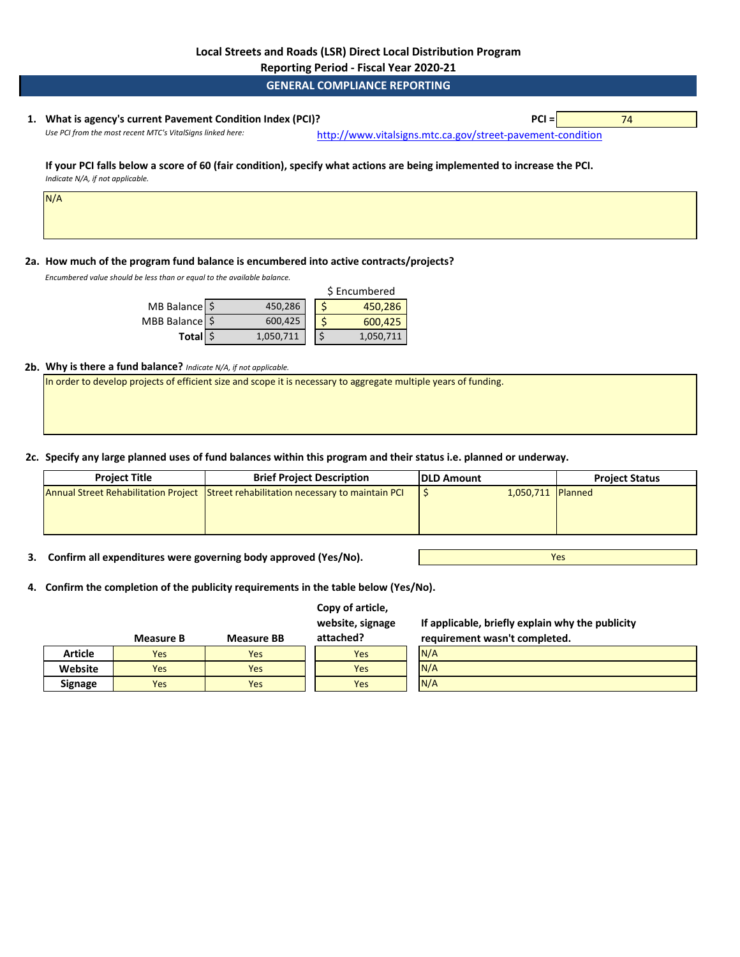**Reporting Period - Fiscal Year 2020-21**

**GENERAL COMPLIANCE REPORTING**

# **1. PCI =** 74 **What is agency's current Pavement Condition Index (PCI)?**

Use PCI from the most recent MTC's VitalSigns linked here: [http://www.vitalsig](http://www.vitalsigns.mtc.ca.gov/street-pavement-condition)ns.mtc.ca.gov/street-pavement-condition

Yes

#### **If your PCI falls below a score of 60 (fair condition), specify what actions are being implemented to increase the PCI.**  *Indicate N/A, if not applicable.*

N/A

## **2a. How much of the program fund balance is encumbered into active contracts/projects?**

*Encumbered value should be less than or equal to the available balance.* 

|                  |           | \$ Encumbered |
|------------------|-----------|---------------|
| MB Balance \$    | 450,286   | 450,286       |
| MBB Balance   \$ | 600,425   | 600,425       |
| Total \$         | 1,050,711 | 1,050,711     |

### **2b. Why is there a fund balance?** *Indicate N/A, if not applicable.*

In order to develop projects of efficient size and scope it is necessary to aggregate multiple years of funding.

**2c. Specify any large planned uses of fund balances within this program and their status i.e. planned or underway.**

| <b>Project Title</b> | <b>Brief Project Description</b>                                                     | <b>IDLD Amount</b> |                   | <b>Project Status</b> |
|----------------------|--------------------------------------------------------------------------------------|--------------------|-------------------|-----------------------|
|                      | Annual Street Rehabilitation Project Street rehabilitation necessary to maintain PCI |                    | 1,050,711 Planned |                       |
|                      |                                                                                      |                    |                   |                       |
|                      |                                                                                      |                    |                   |                       |

**3. Confirm all expenditures were governing body approved (Yes/No).**

**4. Confirm the completion of the publicity requirements in the table below (Yes/No).**

|                | <b>Measure B</b> | <b>Measure BB</b> | Copy of article,<br>website, signage<br>attached? | If applicable, briefly explain why the publicity<br>requirement wasn't completed. |  |
|----------------|------------------|-------------------|---------------------------------------------------|-----------------------------------------------------------------------------------|--|
| <b>Article</b> | Yes              | <b>Yes</b>        | <b>Yes</b>                                        | N/A                                                                               |  |
| Website        | <b>Yes</b>       | <b>Yes</b>        | Yes                                               | N/A                                                                               |  |
| <b>Signage</b> | <b>Yes</b>       | <b>Yes</b>        | Yes                                               | N/A                                                                               |  |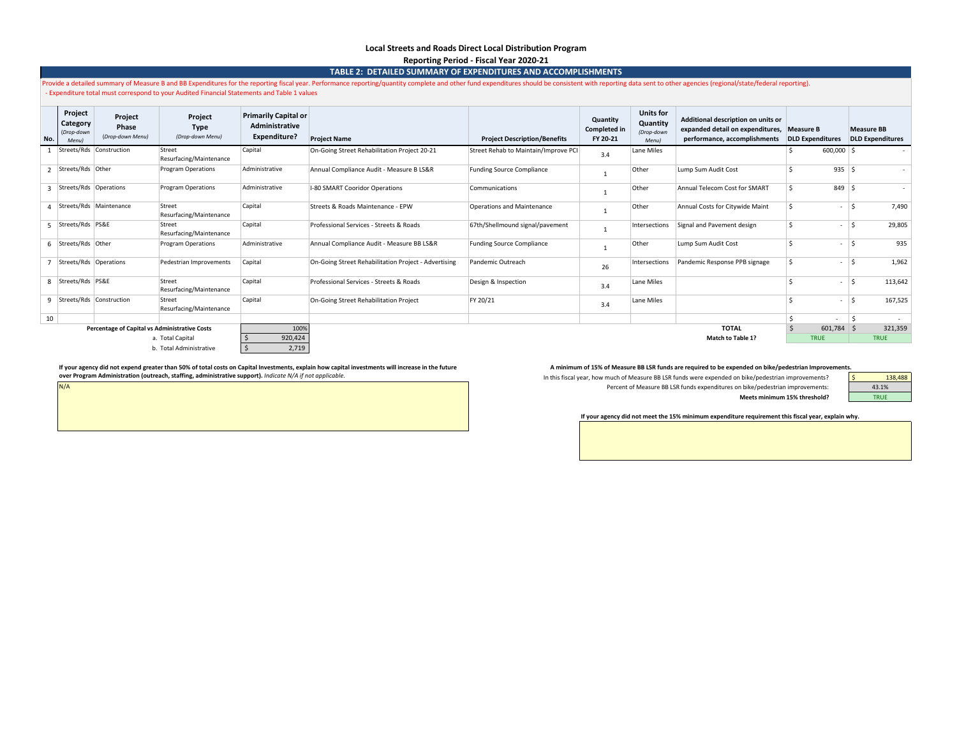#### **Local Streets and Roads Direct Local Distribution Program Reporting Period - Fiscal Year 2020-21**

**TABLE 2: DETAILED SUMMARY OF EXPENDITURES AND ACCOMPLISHMENTS**

|                  |                                            |                                               | Expenditure total must correspond to your Audited Financial Statements and Table 1 values |                                                                      | Provide a detailed summary of Measure B and BB Expenditures for the reporting fiscal year. Performance reporting/quantity complete and other fund expenditures should be consistent with reporting data sent to other agencies |                                      |                                             |                                                     |                                                                                                                  |    |                         |            |                                              |
|------------------|--------------------------------------------|-----------------------------------------------|-------------------------------------------------------------------------------------------|----------------------------------------------------------------------|--------------------------------------------------------------------------------------------------------------------------------------------------------------------------------------------------------------------------------|--------------------------------------|---------------------------------------------|-----------------------------------------------------|------------------------------------------------------------------------------------------------------------------|----|-------------------------|------------|----------------------------------------------|
| No.              | Project<br>Category<br>(Drop-down<br>Menul | Project<br>Phase<br>(Drop-down Menu)          | Project<br><b>Type</b><br>(Drop-down Menu)                                                | <b>Primarily Capital or</b><br>Administrative<br><b>Expenditure?</b> | <b>Project Name</b>                                                                                                                                                                                                            | <b>Project Description/Benefits</b>  | Quantity<br><b>Completed in</b><br>FY 20-21 | <b>Units for</b><br>Quantity<br>(Drop-down<br>Menu) | Additional description on units or<br>expanded detail on expenditures, Measure B<br>performance, accomplishments |    | <b>DLD Expenditures</b> |            | <b>Measure BB</b><br><b>DLD Expenditures</b> |
|                  |                                            | Streets/Rds Construction                      | Street<br>Resurfacing/Maintenance                                                         | Capital                                                              | On-Going Street Rehabilitation Project 20-21                                                                                                                                                                                   | Street Rehab to Maintain/Improve PCI | 3.4                                         | Lane Miles                                          |                                                                                                                  |    | $600,000$ \ \$          |            |                                              |
|                  | Streets/Rds Other                          |                                               | <b>Program Operations</b>                                                                 | Administrative                                                       | Annual Compliance Audit - Measure B LS&R                                                                                                                                                                                       | <b>Funding Source Compliance</b>     |                                             | Other                                               | Lump Sum Audit Cost                                                                                              |    | $935$ \$                |            |                                              |
|                  | 3 Streets/Rds Operations                   |                                               | <b>Program Operations</b>                                                                 | Administrative                                                       | I-80 SMART Cooridor Operations                                                                                                                                                                                                 | Communications                       |                                             | Other                                               | Annual Telecom Cost for SMART                                                                                    | \$ | $849$ \$                |            |                                              |
|                  |                                            | Streets/Rds   Maintenance                     | Street<br>Resurfacing/Maintenance                                                         | Capital                                                              | Streets & Roads Maintenance - EPW                                                                                                                                                                                              | Operations and Maintenance           |                                             | Other                                               | Annual Costs for Citywide Maint                                                                                  | \$ |                         | ١ś         | 7,490                                        |
|                  | Streets/Rds PS&E                           |                                               | Street<br>Resurfacing/Maintenance                                                         | Capital                                                              | Professional Services - Streets & Roads                                                                                                                                                                                        | 67th/Shellmound signal/pavement      |                                             | Intersections                                       | Signal and Pavement design                                                                                       | Ś  | $\sim$                  | ١ś         | 29,805                                       |
|                  | 6 Streets/Rds Other                        |                                               | <b>Program Operations</b>                                                                 | Administrative                                                       | Annual Compliance Audit - Measure BB LS&R                                                                                                                                                                                      | <b>Funding Source Compliance</b>     |                                             | Other                                               | Lump Sum Audit Cost                                                                                              | Ś  | $\sim$                  | $\vert$ \$ | 935                                          |
|                  | Streets/Rds Operations                     |                                               | Pedestrian Improvements                                                                   | Capital                                                              | On-Going Street Rehabilitation Project - Advertising                                                                                                                                                                           | Pandemic Outreach                    | 26                                          | Intersections                                       | Pandemic Response PPB signage                                                                                    | \$ |                         | $\vert$ \$ | 1,962                                        |
|                  | 8   Streets/Rds   PS&E                     |                                               | Street<br>Resurfacing/Maintenance                                                         | Capital                                                              | Professional Services - Streets & Roads                                                                                                                                                                                        | Design & Inspection                  | 3.4                                         | Lane Miles                                          |                                                                                                                  |    | $\sim$                  |            | 113,642                                      |
|                  |                                            | 9   Streets/Rds   Construction                | Street<br>Resurfacing/Maintenance                                                         | Capital                                                              | On-Going Street Rehabilitation Project                                                                                                                                                                                         | FY 20/21                             | 3.4                                         | Lane Miles                                          |                                                                                                                  | Ś  | $\sim$                  | $\vert$ \$ | 167,525                                      |
| 10               |                                            |                                               |                                                                                           |                                                                      |                                                                                                                                                                                                                                |                                      |                                             |                                                     |                                                                                                                  |    |                         |            |                                              |
|                  |                                            | Percentage of Capital vs Administrative Costs |                                                                                           | 100%                                                                 |                                                                                                                                                                                                                                |                                      |                                             |                                                     | <b>TOTAL</b>                                                                                                     |    | $601,784$ \$            |            | 321,359                                      |
| a. Total Capital |                                            |                                               |                                                                                           | 920,424                                                              |                                                                                                                                                                                                                                |                                      |                                             |                                                     | <b>Match to Table 1?</b>                                                                                         |    | <b>TRUE</b>             |            | <b>TRUE</b>                                  |

N/A

b. Total Administrative  $\frac{1}{5}$  2,719

If your agency did not expend greater than 50% of total costs on Capital Investments, explain how capital investments, whalin fore capital investments will increase in the future and the minimum of 15% of Measure BB LSR fu **over Program Administration (outreach, staffing, administrative support).** *Indicate N/A if not applicable.* 

In this fiscal year, how much of Measure BB LSR funds were expended on bike/pedestrian improvements? Percent of Measure BB LSR funds expenditures on bike/pedestrian improvements: **Meets minimum 15% threshold?**

| nts. |         |
|------|---------|
|      | 138,488 |
|      | 43.1%   |
|      | TRUF    |
|      |         |

#### **If your agency did not meet the 15% minimum expenditure requirement this fiscal year, explain why.**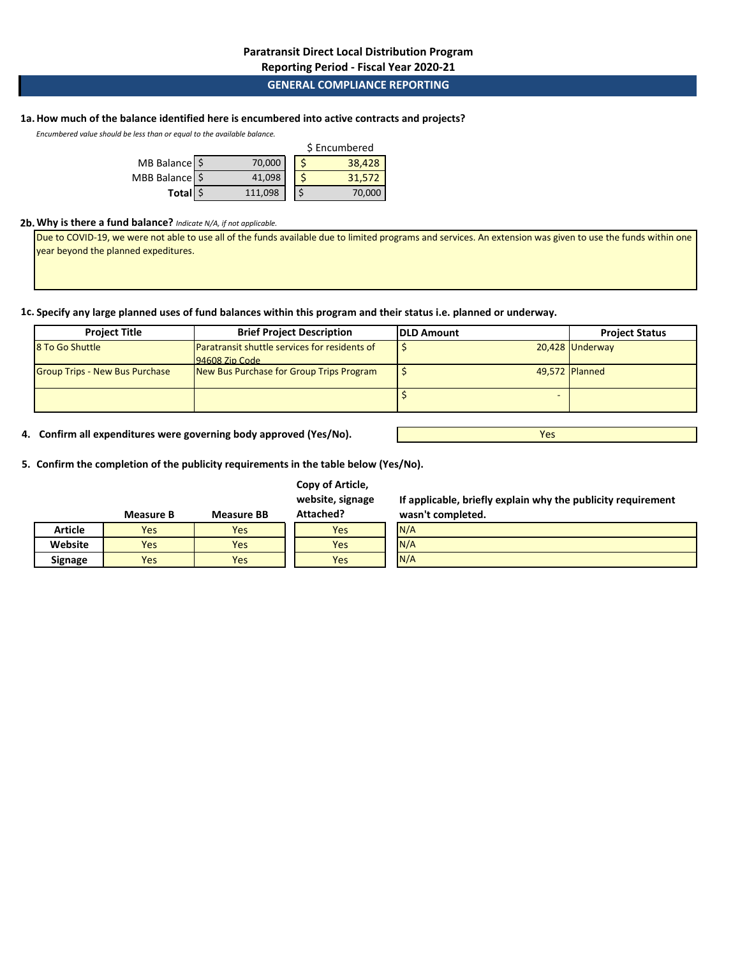**Reporting Period - Fiscal Year 2020-21**

## **GENERAL COMPLIANCE REPORTING**

# **1a.How much of the balance identified here is encumbered into active contracts and projects?**

*Encumbered value should be less than or equal to the available balance.* 

|                |         | \$ Encumbered |        |  |  |
|----------------|---------|---------------|--------|--|--|
| MB Balance \$  | 70,000  |               | 38,428 |  |  |
| MBB Balance \$ | 41,098  |               | 31.572 |  |  |
| Total \$       | 111,098 |               | 70,000 |  |  |

#### **2b.Why is there a fund balance?** *Indicate N/A, if not applicable.*

Due to COVID-19, we were not able to use all of the funds available due to limited programs and services. An extension was given to use the funds within one year beyond the planned expeditures.

**1c. Specify any large planned uses of fund balances within this program and their status i.e. planned or underway.**

| <b>Project Title</b>                  | <b>Brief Project Description</b>              | <b>IDLD Amount</b> | <b>Project Status</b> |
|---------------------------------------|-----------------------------------------------|--------------------|-----------------------|
| 8 To Go Shuttle                       | Paratransit shuttle services for residents of |                    | 20,428 Underway       |
|                                       | $94608$ Zin Code                              |                    |                       |
| <b>Group Trips - New Bus Purchase</b> | New Bus Purchase for Group Trips Program      |                    | 49,572 Planned        |
|                                       |                                               |                    |                       |

**4. Confirm all expenditures were governing body approved (Yes/No).**

**5. Confirm the completion of the publicity requirements in the table below (Yes/No).**

|                | <b>Measure B</b> | <b>Measure BB</b> | Attached? |
|----------------|------------------|-------------------|-----------|
| Article        | Yes              | Yes               | Yes       |
| Website        | Yes              | Yes               | Yes       |
| <b>Signage</b> | Yes              | Yes               | Yes       |

**Copy of Article, website, signage** 

> N/A N/A

**If applicable, briefly explain why the publicity requirement** 

Yes

**wasn't completed.** N/A